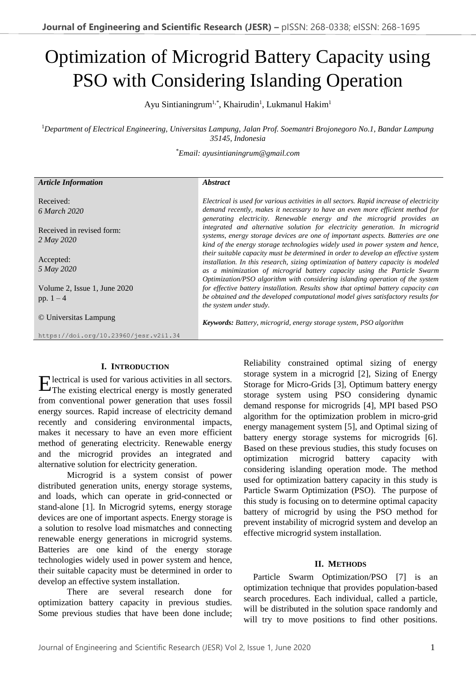# Optimization of Microgrid Battery Capacity using PSO with Considering Islanding Operation

Ayu Sintianingrum<sup>1,\*</sup>, Khairudin<sup>1</sup>, Lukmanul Hakim<sup>1</sup>

<sup>1</sup>*Department of Electrical Engineering, Universitas Lampung, Jalan Prof. Soemantri Brojonegoro No.1, Bandar Lampung 35145, Indonesia*

\**Email: ayusintianingrum@gmail.com*

| <b>Article Information</b>                  | <i><b>Abstract</b></i>                                                                                                                                                                                                                                                                                                                |
|---------------------------------------------|---------------------------------------------------------------------------------------------------------------------------------------------------------------------------------------------------------------------------------------------------------------------------------------------------------------------------------------|
| Received:<br>6 March 2020                   | Electrical is used for various activities in all sectors. Rapid increase of electricity<br>demand recently, makes it necessary to have an even more efficient method for<br>generating electricity. Renewable energy and the microgrid provides an                                                                                    |
| Received in revised form:<br>2 May 2020     | integrated and alternative solution for electricity generation. In microgrid<br>systems, energy storage devices are one of important aspects. Batteries are one<br>kind of the energy storage technologies widely used in power system and hence,                                                                                     |
| Accepted:<br>5 May 2020                     | their suitable capacity must be determined in order to develop an effective system<br>installation. In this research, sizing optimization of battery capacity is modeled<br>as a minimization of microgrid battery capacity using the Particle Swarm<br>Optimization/PSO algorithm with considering islanding operation of the system |
| Volume 2, Issue 1, June 2020<br>pp. $1 - 4$ | for effective battery installation. Results show that optimal battery capacity can<br>be obtained and the developed computational model gives satisfactory results for<br><i>the system under study.</i>                                                                                                                              |
| © Universitas Lampung                       | <b>Keywords:</b> Battery, microgrid, energy storage system, PSO algorithm                                                                                                                                                                                                                                                             |
| https://doi.org/10.23960/jesr.v2i1.34       |                                                                                                                                                                                                                                                                                                                                       |

## **I. INTRODUCTION**

lectrical is used for various activities in all sectors. Electrical is used for various activities in all sectors.<br>The existing electrical energy is mostly generated from conventional power generation that uses fossil energy sources. Rapid increase of electricity demand recently and considering environmental impacts, makes it necessary to have an even more efficient method of generating electricity. Renewable energy and the microgrid provides an integrated and alternative solution for electricity generation.

Microgrid is a system consist of power distributed generation units, energy storage systems, and loads, which can operate in grid-connected or stand-alone [1]. In Microgrid sytems, energy storage devices are one of important aspects. Energy storage is a solution to resolve load mismatches and connecting renewable energy generations in microgrid systems. Batteries are one kind of the energy storage technologies widely used in power system and hence, their suitable capacity must be determined in order to develop an effective system installation.

There are several research done for optimization battery capacity in previous studies. Some previous studies that have been done include; Reliability constrained optimal sizing of energy storage system in a microgrid [2], Sizing of Energy Storage for Micro-Grids [3], Optimum battery energy storage system using PSO considering dynamic demand response for microgrids [4], MPI based PSO algorithm for the optimization problem in micro-grid energy management system [5], and Optimal sizing of battery energy storage systems for microgrids [6]. Based on these previous studies, this study focuses on optimization microgrid battery capacity with considering islanding operation mode. The method used for optimization battery capacity in this study is Particle Swarm Optimization (PSO). The purpose of this study is focusing on to determine optimal capacity battery of microgrid by using the PSO method for prevent instability of microgrid system and develop an effective microgrid system installation.

## **II. METHODS**

Particle Swarm Optimization/PSO [7] is an optimization technique that provides population-based search procedures. Each individual, called a particle, will be distributed in the solution space randomly and will try to move positions to find other positions.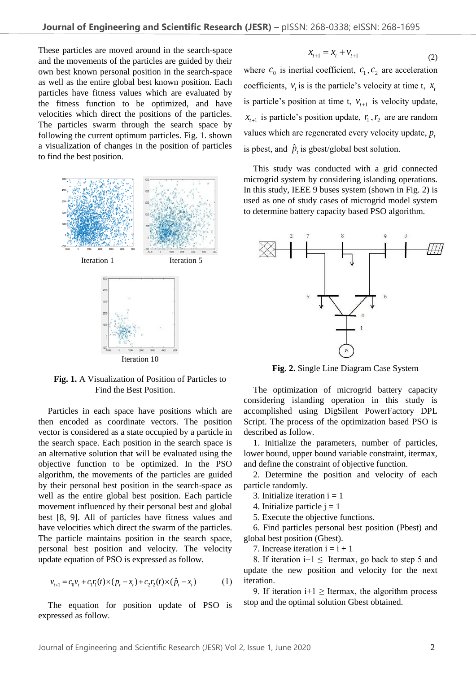These particles are moved around in the search-space and the movements of the particles are guided by their own best known personal position in the search-space as well as the entire global best known position. Each particles have fitness values which are evaluated by the fitness function to be optimized, and have velocities which direct the positions of the particles. The particles swarm through the search space by following the current optimum particles. Fig. 1. shown a visualization of changes in the position of particles to find the best position.



**Fig. 1.** A Visualization of Position of Particles to Find the Best Position.

Particles in each space have positions which are then encoded as coordinate vectors. The position vector is considered as a state occupied by a particle in the search space. Each position in the search space is an alternative solution that will be evaluated using the objective function to be optimized. In the PSO algorithm, the movements of the particles are guided by their personal best position in the search-space as well as the entire global best position. Each particle movement influenced by their personal best and global best [8, 9]. All of particles have fitness values and have velocities which direct the swarm of the particles. The particle maintains position in the search space, personal best position and velocity. The velocity update equation of PSO is expressed as follow.

$$
v_{t+1} = c_0 v_t + c_1 r_1(t) \times (p_t - x_t) + c_2 r_2(t) \times (\hat{p}_t - x_t)
$$
 (1)

The equation for position update of PSO is expressed as follow.

$$
x_{t+1} = x_t + v_{t+1} \tag{2}
$$

where  $c_0$  is inertial coefficient,  $c_1$ ,  $c_2$  are acceleration coefficients,  $v_t$  is is the particle's velocity at time t,  $x_t$ is particle's position at time t,  $v_{t+1}$  is velocity update,  $x_{t+1}$  is particle's position update,  $r_1, r_2$  are are random values which are regenerated every velocity update,  $p_i$ is pbest, and  $\hat{p}_t$  is gbest/global best solution.

This study was conducted with a grid connected microgrid system by considering islanding operations. In this study, IEEE 9 buses system (shown in Fig. 2) is used as one of study cases of microgrid model system to determine battery capacity based PSO algorithm.



**Fig. 2.** Single Line Diagram Case System

The optimization of microgrid battery capacity considering islanding operation in this study is accomplished using DigSilent PowerFactory DPL Script. The process of the optimization based PSO is described as follow.

1. Initialize the parameters, number of particles, lower bound, upper bound variable constraint, itermax, and define the constraint of objective function.

2. Determine the position and velocity of each particle randomly.

- 3. Initialize iteration  $i = 1$
- 4. Initialize particle  $i = 1$

5. Execute the objective functions.

6. Find particles personal best position (Pbest) and global best position (Gbest).

7. Increase iteration  $i = i + 1$ 

8. If iteration i+1  $\leq$  Itermax, go back to step 5 and update the new position and velocity for the next iteration.

9. If iteration  $i+1 \geq$  Itermax, the algorithm process stop and the optimal solution Gbest obtained.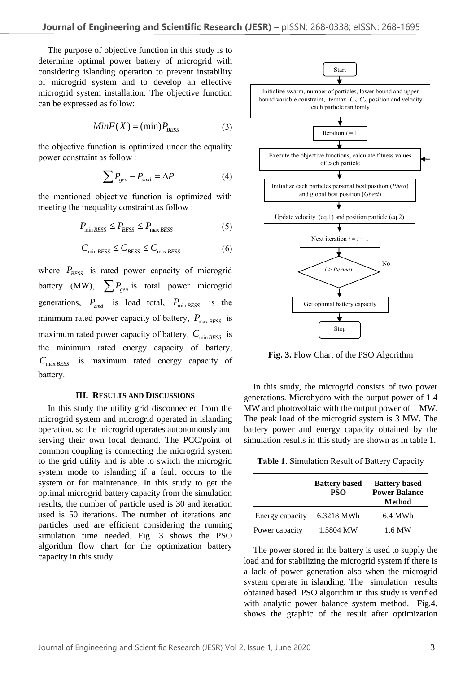The purpose of objective function in this study is to determine optimal power battery of microgrid with considering islanding operation to prevent instability of microgrid system and to develop an effective microgrid system installation. The objective function can be expressed as follow:

$$
MinF(X) = (min)P_{BESS}
$$
 (3)

the objective function is optimized under the equality power constraint as follow :

$$
\sum P_{gen} - P_{dmd} = \Delta P \tag{4}
$$

the mentioned objective function is optimized with meeting the inequality constraint as follow :

$$
P_{\min BESS} \le P_{BESS} \le P_{\max BESS} \tag{5}
$$

$$
C_{\min BESS} \le C_{BESS} \le C_{\max BESS} \tag{6}
$$

where  $P_{\text{BESS}}$  is rated power capacity of microgrid battery (MW),  $\sum P_{gen}$  is total power microgrid generations,  $P_{dmd}$  is load total,  $P_{min BESS}$  is the minimum rated power capacity of battery,  $P_{\text{max BESS}}$  is maximum rated power capacity of battery,  $C_{\text{min BESS}}$  is the minimum rated energy capacity of battery, *C*max *BESS* is maximum rated energy capacity of battery.

### **III. RESULTS AND DISCUSSIONS**

In this study the utility grid disconnected from the microgrid system and microgrid operated in islanding operation, so the microgrid operates autonomously and serving their own local demand. The PCC/point of common coupling is connecting the microgrid system to the grid utility and is able to switch the microgrid system mode to islanding if a fault occurs to the system or for maintenance. In this study to get the optimal microgrid battery capacity from the simulation results, the number of particle used is 30 and iteration used is 50 iterations. The number of iterations and particles used are efficient considering the running simulation time needed. Fig. 3 shows the PSO algorithm flow chart for the optimization battery capacity in this study.



**Fig. 3.** Flow Chart of the PSO Algorithm

In this study, the microgrid consists of two power generations. Microhydro with the output power of 1.4 MW and photovoltaic with the output power of 1 MW. The peak load of the microgrid system is 3 MW. The battery power and energy capacity obtained by the simulation results in this study are shown as in table 1.

**Table 1**. Simulation Result of Battery Capacity

|                 | <b>Battery based</b><br><b>PSO</b> | <b>Battery based</b><br><b>Power Balance</b><br><b>Method</b> |
|-----------------|------------------------------------|---------------------------------------------------------------|
| Energy capacity | 6.3218 MWh                         | 6.4 MWh                                                       |
| Power capacity  | 1.5804 MW                          | 1.6 MW                                                        |

The power stored in the battery is used to supply the load and for stabilizing the microgrid system if there is a lack of power generation also when the microgrid system operate in islanding. The simulation results obtained based PSO algorithm in this study is verified with analytic power balance system method. Fig.4. shows the graphic of the result after optimization